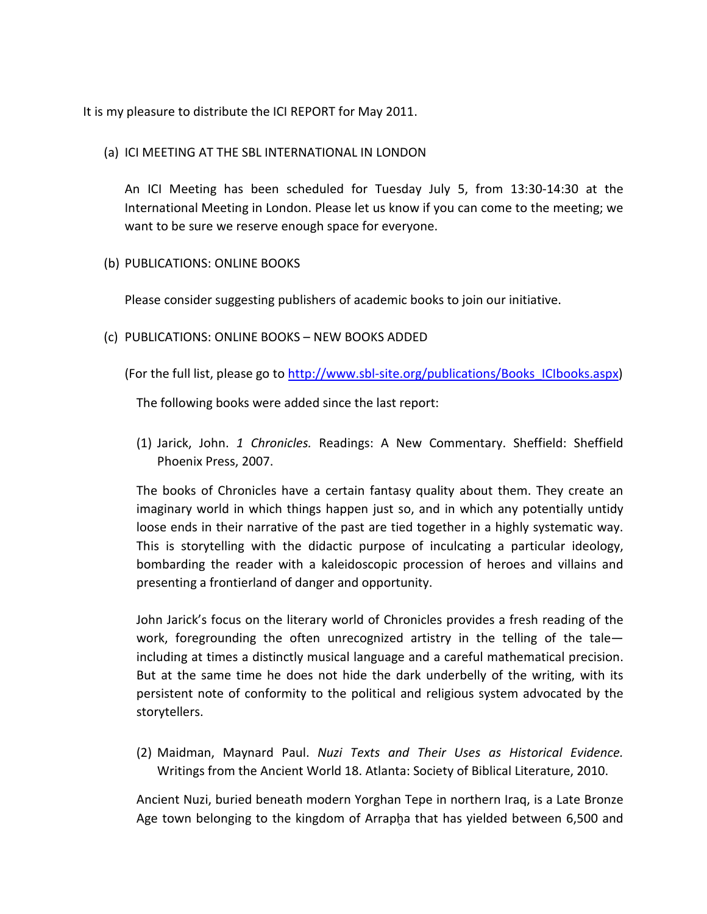It is my pleasure to distribute the ICI REPORT for May 2011.

(a) ICI MEETING AT THE SBL INTERNATIONAL IN LONDON

An ICI Meeting has been scheduled for Tuesday July 5, from 13:30-14:30 at the International Meeting in London. Please let us know if you can come to the meeting; we want to be sure we reserve enough space for everyone.

(b) PUBLICATIONS: ONLINE BOOKS

Please consider suggesting publishers of academic books to join our initiative.

- (c) PUBLICATIONS: ONLINE BOOKS NEW BOOKS ADDED
	- (For the full list, please go to [http://www.sbl-site.org/publications/Books\\_ICIbooks.aspx\)](http://www.sbl-site.org/publications/Books_ICIbooks.aspx)

The following books were added since the last report:

(1) Jarick, John. *1 Chronicles.* Readings: A New Commentary. Sheffield: Sheffield Phoenix Press, 2007.

The books of Chronicles have a certain fantasy quality about them. They create an imaginary world in which things happen just so, and in which any potentially untidy loose ends in their narrative of the past are tied together in a highly systematic way. This is storytelling with the didactic purpose of inculcating a particular ideology, bombarding the reader with a kaleidoscopic procession of heroes and villains and presenting a frontierland of danger and opportunity.

John Jarick's focus on the literary world of Chronicles provides a fresh reading of the work, foregrounding the often unrecognized artistry in the telling of the taleincluding at times a distinctly musical language and a careful mathematical precision. But at the same time he does not hide the dark underbelly of the writing, with its persistent note of conformity to the political and religious system advocated by the storytellers.

(2) Maidman, Maynard Paul. *Nuzi Texts and Their Uses as Historical Evidence.*  Writings from the Ancient World 18. Atlanta: Society of Biblical Literature, 2010.

Ancient Nuzi, buried beneath modern Yorghan Tepe in northern Iraq, is a Late Bronze Age town belonging to the kingdom of Arrapha that has yielded between 6,500 and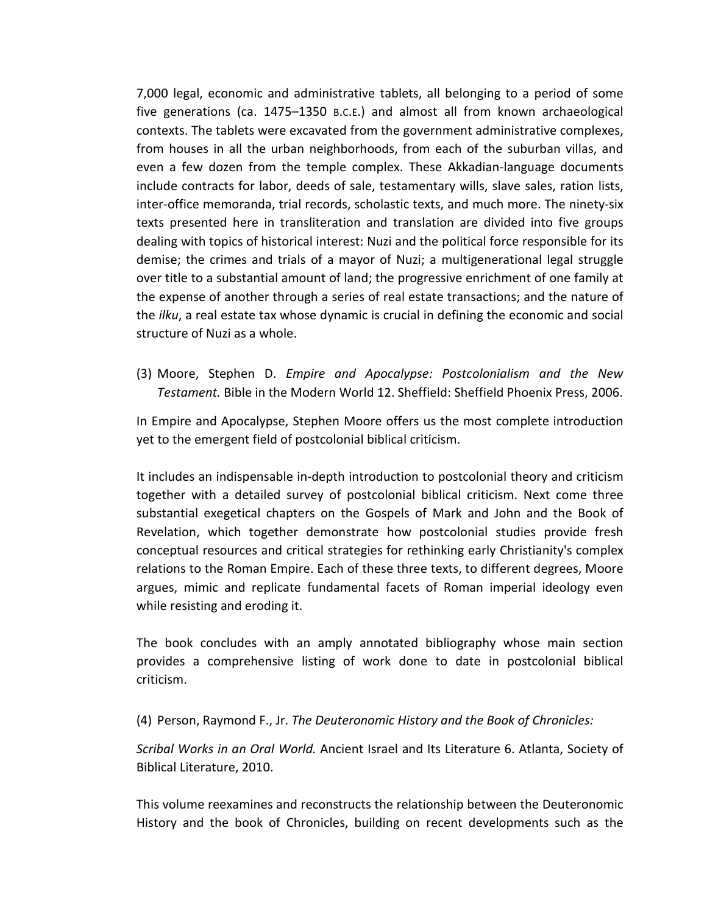7,000 legal, economic and administrative tablets, all belonging to a period of some five generations (ca. 1475–1350 B.C.E.) and almost all from known archaeological contexts. The tablets were excavated from the government administrative complexes, from houses in all the urban neighborhoods, from each of the suburban villas, and even a few dozen from the temple complex. These Akkadian-language documents include contracts for labor, deeds of sale, testamentary wills, slave sales, ration lists, inter-office memoranda, trial records, scholastic texts, and much more. The ninety-six texts presented here in transliteration and translation are divided into five groups dealing with topics of historical interest: Nuzi and the political force responsible for its demise; the crimes and trials of a mayor of Nuzi; a multigenerational legal struggle over title to a substantial amount of land; the progressive enrichment of one family at the expense of another through a series of real estate transactions; and the nature of the *ilku*, a real estate tax whose dynamic is crucial in defining the economic and social structure of Nuzi as a whole.

(3) Moore, Stephen D. *Empire and Apocalypse: Postcolonialism and the New Testament.* Bible in the Modern World 12. Sheffield: Sheffield Phoenix Press, 2006.

In Empire and Apocalypse, Stephen Moore offers us the most complete introduction yet to the emergent field of postcolonial biblical criticism.

It includes an indispensable in-depth introduction to postcolonial theory and criticism together with a detailed survey of postcolonial biblical criticism. Next come three substantial exegetical chapters on the Gospels of Mark and John and the Book of Revelation, which together demonstrate how postcolonial studies provide fresh conceptual resources and critical strategies for rethinking early Christianity's complex relations to the Roman Empire. Each of these three texts, to different degrees, Moore argues, mimic and replicate fundamental facets of Roman imperial ideology even while resisting and eroding it.

The book concludes with an amply annotated bibliography whose main section provides a comprehensive listing of work done to date in postcolonial biblical criticism.

(4) Person, Raymond F., Jr. *The Deuteronomic History and the Book of Chronicles:* 

*Scribal Works in an Oral World.* Ancient Israel and Its Literature 6. Atlanta, Society of Biblical Literature, 2010.

This volume reexamines and reconstructs the relationship between the Deuteronomic History and the book of Chronicles, building on recent developments such as the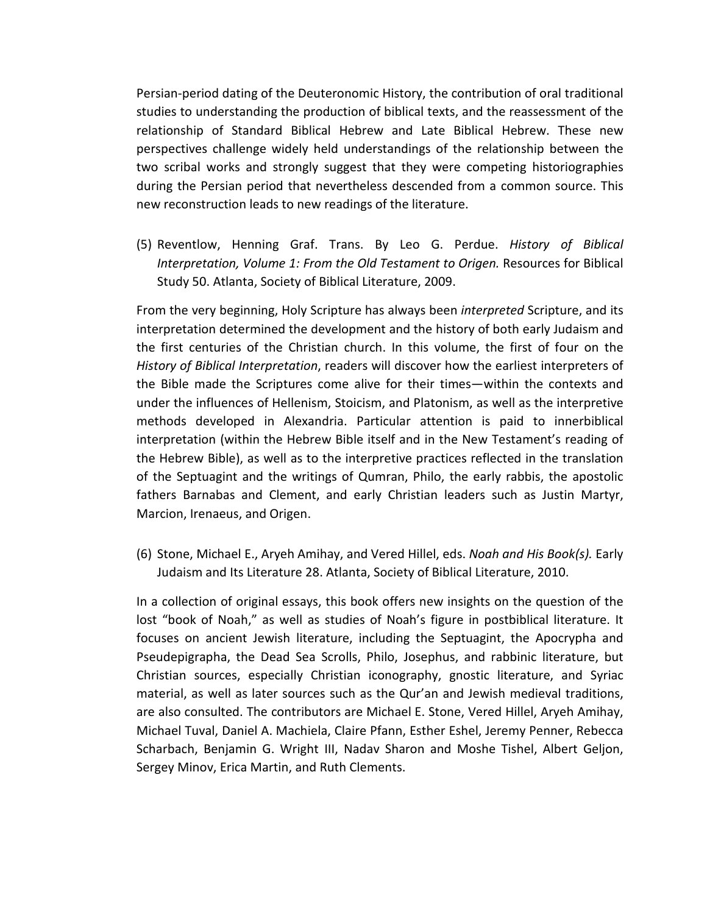Persian-period dating of the Deuteronomic History, the contribution of oral traditional studies to understanding the production of biblical texts, and the reassessment of the relationship of Standard Biblical Hebrew and Late Biblical Hebrew. These new perspectives challenge widely held understandings of the relationship between the two scribal works and strongly suggest that they were competing historiographies during the Persian period that nevertheless descended from a common source. This new reconstruction leads to new readings of the literature.

(5) Reventlow, Henning Graf. Trans. By Leo G. Perdue. *History of Biblical Interpretation, Volume 1: From the Old Testament to Origen.* Resources for Biblical Study 50. Atlanta, Society of Biblical Literature, 2009.

From the very beginning, Holy Scripture has always been *interpreted* Scripture, and its interpretation determined the development and the history of both early Judaism and the first centuries of the Christian church. In this volume, the first of four on the *History of Biblical Interpretation*, readers will discover how the earliest interpreters of the Bible made the Scriptures come alive for their times—within the contexts and under the influences of Hellenism, Stoicism, and Platonism, as well as the interpretive methods developed in Alexandria. Particular attention is paid to innerbiblical interpretation (within the Hebrew Bible itself and in the New Testament's reading of the Hebrew Bible), as well as to the interpretive practices reflected in the translation of the Septuagint and the writings of Qumran, Philo, the early rabbis, the apostolic fathers Barnabas and Clement, and early Christian leaders such as Justin Martyr, Marcion, Irenaeus, and Origen.

(6) Stone, Michael E., Aryeh Amihay, and Vered Hillel, eds. *Noah and His Book(s).* Early Judaism and Its Literature 28. Atlanta, Society of Biblical Literature, 2010.

In a collection of original essays, this book offers new insights on the question of the lost "book of Noah," as well as studies of Noah's figure in postbiblical literature. It focuses on ancient Jewish literature, including the Septuagint, the Apocrypha and Pseudepigrapha, the Dead Sea Scrolls, Philo, Josephus, and rabbinic literature, but Christian sources, especially Christian iconography, gnostic literature, and Syriac material, as well as later sources such as the Qur'an and Jewish medieval traditions, are also consulted. The contributors are Michael E. Stone, Vered Hillel, Aryeh Amihay, Michael Tuval, Daniel A. Machiela, Claire Pfann, Esther Eshel, Jeremy Penner, Rebecca Scharbach, Benjamin G. Wright III, Nadav Sharon and Moshe Tishel, Albert Geljon, Sergey Minov, Erica Martin, and Ruth Clements.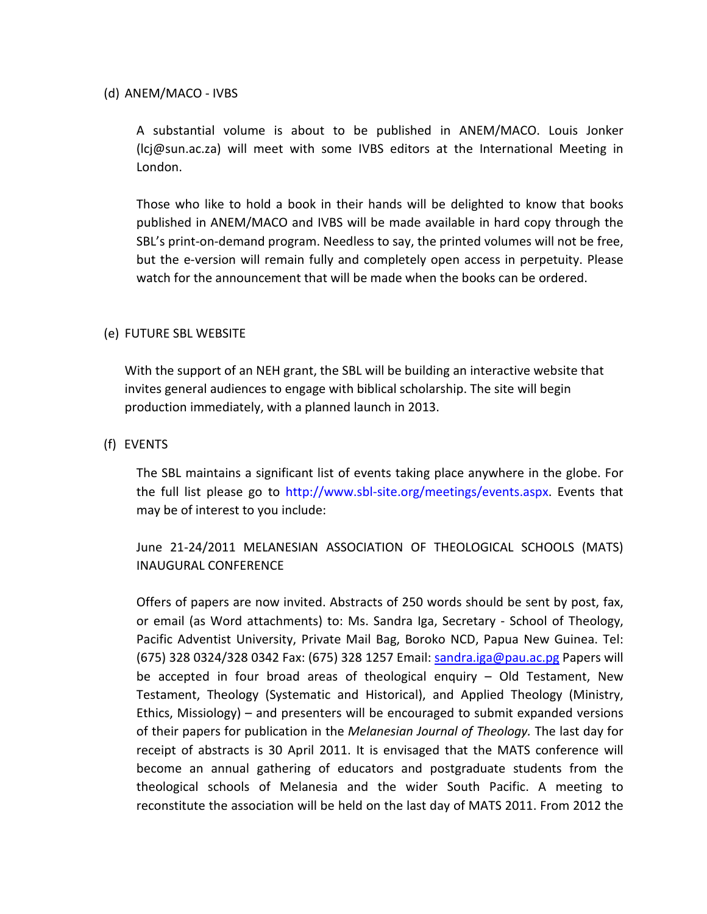(d) ANEM/MACO - IVBS

A substantial volume is about to be published in ANEM/MACO. Louis Jonker (lcj@sun.ac.za) will meet with some IVBS editors at the International Meeting in London.

Those who like to hold a book in their hands will be delighted to know that books published in ANEM/MACO and IVBS will be made available in hard copy through the SBL's print-on-demand program. Needless to say, the printed volumes will not be free, but the e-version will remain fully and completely open access in perpetuity. Please watch for the announcement that will be made when the books can be ordered.

## (e) FUTURE SBL WEBSITE

With the support of an NEH grant, the SBL will be building an interactive website that invites general audiences to engage with biblical scholarship. The site will begin production immediately, with a planned launch in 2013.

## (f) EVENTS

The SBL maintains a significant list of events taking place anywhere in the globe. For the full list please go to http://www.sbl-site.org/meetings/events.aspx. Events that may be of interest to you include:

June 21-24/2011 MELANESIAN ASSOCIATION OF THEOLOGICAL SCHOOLS (MATS) INAUGURAL CONFERENCE

Offers of papers are now invited. Abstracts of 250 words should be sent by post, fax, or email (as Word attachments) to: Ms. Sandra Iga, Secretary - School of Theology, Pacific Adventist University, Private Mail Bag, Boroko NCD, Papua New Guinea. Tel: (675) 328 0324/328 0342 Fax: (675) 328 1257 Email: [sandra.iga@pau.ac.pg](mailto:sandra.iga@pau.ac.pg) Papers will be accepted in four broad areas of theological enquiry – Old Testament, New Testament, Theology (Systematic and Historical), and Applied Theology (Ministry, Ethics, Missiology) – and presenters will be encouraged to submit expanded versions of their papers for publication in the *Melanesian Journal of Theology.* The last day for receipt of abstracts is 30 April 2011. It is envisaged that the MATS conference will become an annual gathering of educators and postgraduate students from the theological schools of Melanesia and the wider South Pacific. A meeting to reconstitute the association will be held on the last day of MATS 2011. From 2012 the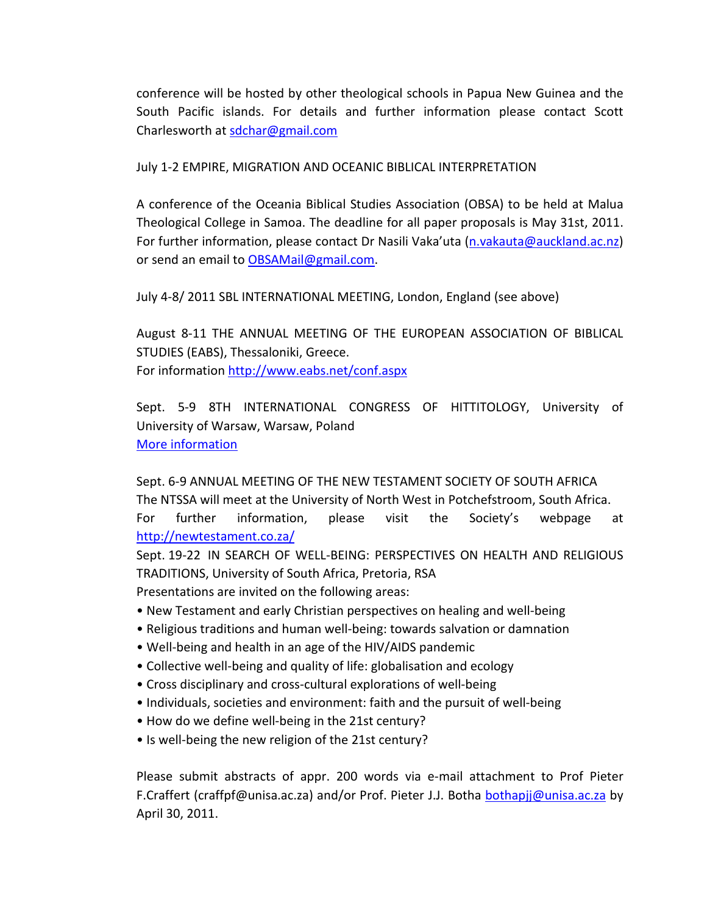conference will be hosted by other theological schools in Papua New Guinea and the South Pacific islands. For details and further information please contact Scott Charlesworth at [sdchar@gmail.com](mailto:sdchar@gmail.com)

July 1-2 EMPIRE, MIGRATION AND OCEANIC BIBLICAL INTERPRETATION

A conference of the Oceania Biblical Studies Association (OBSA) to be held at Malua Theological College in Samoa. The deadline for all paper proposals is May 31st, 2011. For further information, please contact Dr Nasili Vaka'uta [\(n.vakauta@auckland.ac.nz\)](mailto:n.vakauta@auckland.ac.nz) or send an email to [OBSAMail@gmail.com.](mailto:OBSAMail@gmail.com)

July 4-8/ 2011 SBL INTERNATIONAL MEETING, London, England (see above)

August 8-11 THE ANNUAL MEETING OF THE EUROPEAN ASSOCIATION OF BIBLICAL STUDIES (EABS), Thessaloniki, Greece. For information<http://www.eabs.net/conf.aspx>

Sept. 5-9 8TH INTERNATIONAL CONGRESS OF HITTITOLOGY, University of University of Warsaw, Warsaw, Poland [More information](http://hittitology.pl/)

Sept. 6-9 ANNUAL MEETING OF THE NEW TESTAMENT SOCIETY OF SOUTH AFRICA The NTSSA will meet at the University of North West in Potchefstroom, South Africa. For further information, please visit the Society's webpage at <http://newtestament.co.za/>

Sept. 19-22 IN SEARCH OF WELL-BEING: PERSPECTIVES ON HEALTH AND RELIGIOUS TRADITIONS, University of South Africa, Pretoria, RSA Presentations are invited on the following areas:

- New Testament and early Christian perspectives on healing and well-being
- Religious traditions and human well-being: towards salvation or damnation
- Well-being and health in an age of the HIV/AIDS pandemic
- Collective well-being and quality of life: globalisation and ecology
- Cross disciplinary and cross-cultural explorations of well-being
- Individuals, societies and environment: faith and the pursuit of well-being
- How do we define well-being in the 21st century?
- Is well-being the new religion of the 21st century?

Please submit abstracts of appr. 200 words via e-mail attachment to Prof Pieter F.Craffert (craffpf@unisa.ac.za) and/or Prof. Pieter J.J. Botha [bothapjj@unisa.ac.za](mailto:bothapjj@unisa.ac.za) by April 30, 2011.